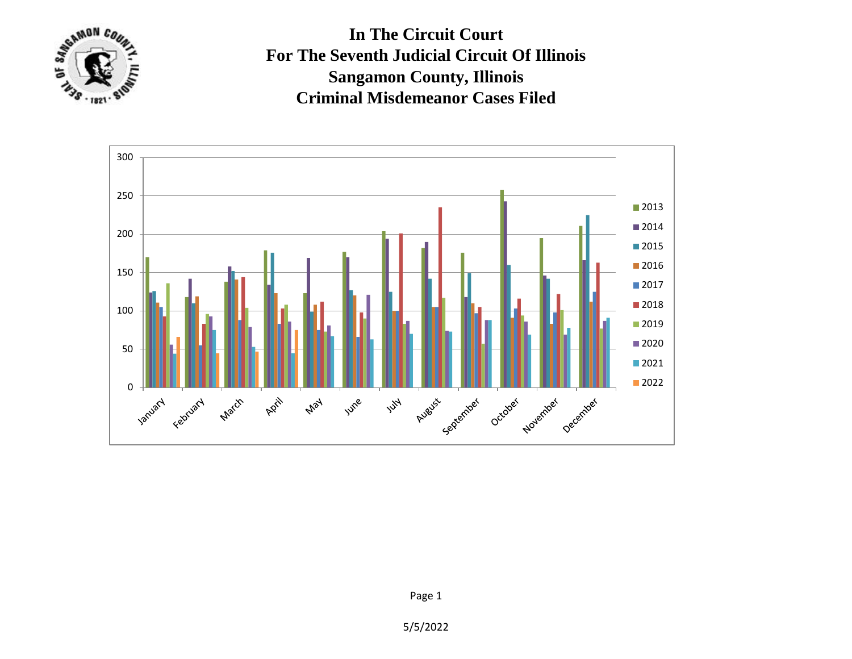

**In The Circuit Court For The Seventh Judicial Circuit Of Illinois Sangamon County, Illinois Criminal Misdemeanor Cases Filed**



Page 1

5/5/2022